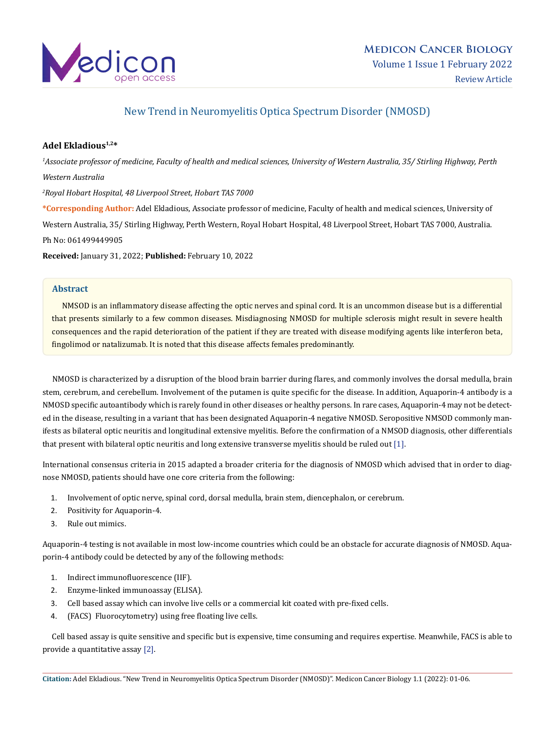

# New Trend in Neuromyelitis Optica Spectrum Disorder (NMOSD)

# **Adel Ekladious1,2\***

*1 Associate professor of medicine, Faculty of health and medical sciences, University of Western Australia, 35/ Stirling Highway, Perth Western Australia 2 Royal Hobart Hospital, 48 Liverpool Street, Hobart TAS 7000* **\*Corresponding Author:** Adel Ekladious, Associate professor of medicine, Faculty of health and medical sciences, University of Western Australia, 35/ Stirling Highway, Perth Western, Royal Hobart Hospital, 48 Liverpool Street, Hobart TAS 7000, Australia. Ph No: 061499449905

**Received:** January 31, 2022; **Published:** February 10, 2022

## **Abstract**

 NMSOD is an inflammatory disease affecting the optic nerves and spinal cord. It is an uncommon disease but is a differential that presents similarly to a few common diseases. Misdiagnosing NMOSD for multiple sclerosis might result in severe health consequences and the rapid deterioration of the patient if they are treated with disease modifying agents like interferon beta, fingolimod or natalizumab. It is noted that this disease affects females predominantly.

 NMOSD is characterized by a disruption of the blood brain barrier during flares, and commonly involves the dorsal medulla, brain stem, cerebrum, and cerebellum. Involvement of the putamen is quite specific for the disease. In addition, Aquaporin-4 antibody is a NMOSD specific autoantibody which is rarely found in other diseases or healthy persons. In rare cases, Aquaporin-4 may not be detected in the disease, resulting in a variant that has been designated Aquaporin-4 negative NMOSD. Seropositive NMSOD commonly manifests as bilateral optic neuritis and longitudinal extensive myelitis. Before the confirmation of a NMSOD diagnosis, other differentials that present with bilateral optic neuritis and long extensive transverse myelitis should be ruled out [1].

International consensus criteria in 2015 adapted a broader criteria for the diagnosis of NMOSD which advised that in order to diagnose NMOSD, patients should have one core criteria from the following:

- 1. Involvement of optic nerve, spinal cord, dorsal medulla, brain stem, diencephalon, or cerebrum.
- 2. Positivity for Aquaporin-4.
- 3. Rule out mimics.

Aquaporin-4 testing is not available in most low-income countries which could be an obstacle for accurate diagnosis of NMOSD. Aquaporin-4 antibody could be detected by any of the following methods:

- 1. Indirect immunofluorescence (IIF).
- 2. Enzyme-linked immunoassay (ELISA).
- 3. Cell based assay which can involve live cells or a commercial kit coated with pre-fixed cells.
- 4. (FACS) Fluorocytometry) using free floating live cells.

 Cell based assay is quite sensitive and specific but is expensive, time consuming and requires expertise. Meanwhile, FACS is able to provide a quantitative assay [2].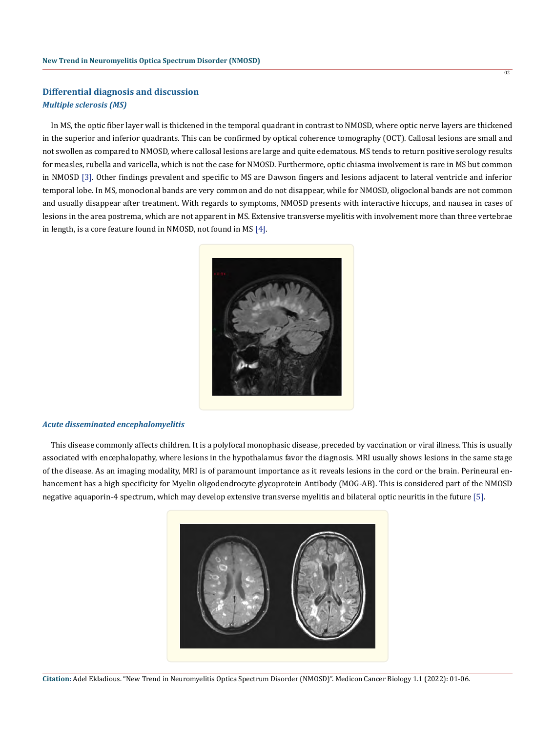# **Differential diagnosis and discussion** *Multiple sclerosis (MS)*

 In MS, the optic fiber layer wall is thickened in the temporal quadrant in contrast to NMOSD, where optic nerve layers are thickened in the superior and inferior quadrants. This can be confirmed by optical coherence tomography (OCT). Callosal lesions are small and not swollen as compared to NMOSD, where callosal lesions are large and quite edematous. MS tends to return positive serology results for measles, rubella and varicella, which is not the case for NMOSD. Furthermore, optic chiasma involvement is rare in MS but common in NMOSD [3]. Other findings prevalent and specific to MS are Dawson fingers and lesions adjacent to lateral ventricle and inferior temporal lobe. In MS, monoclonal bands are very common and do not disappear, while for NMOSD, oligoclonal bands are not common and usually disappear after treatment. With regards to symptoms, NMOSD presents with interactive hiccups, and nausea in cases of lesions in the area postrema, which are not apparent in MS. Extensive transverse myelitis with involvement more than three vertebrae in length, is a core feature found in NMOSD, not found in MS [4].



#### *Acute disseminated encephalomyelitis*

 This disease commonly affects children. It is a polyfocal monophasic disease, preceded by vaccination or viral illness. This is usually associated with encephalopathy, where lesions in the hypothalamus favor the diagnosis. MRI usually shows lesions in the same stage of the disease. As an imaging modality, MRI is of paramount importance as it reveals lesions in the cord or the brain. Perineural enhancement has a high specificity for Myelin oligodendrocyte glycoprotein Antibody (MOG-AB). This is considered part of the NMOSD negative aquaporin-4 spectrum, which may develop extensive transverse myelitis and bilateral optic neuritis in the future [5].



```
Citation: Adel Ekladious. "New Trend in Neuromyelitis Optica Spectrum Disorder (NMOSD)". Medicon Cancer Biology 1.1 (2022): 01-06.
```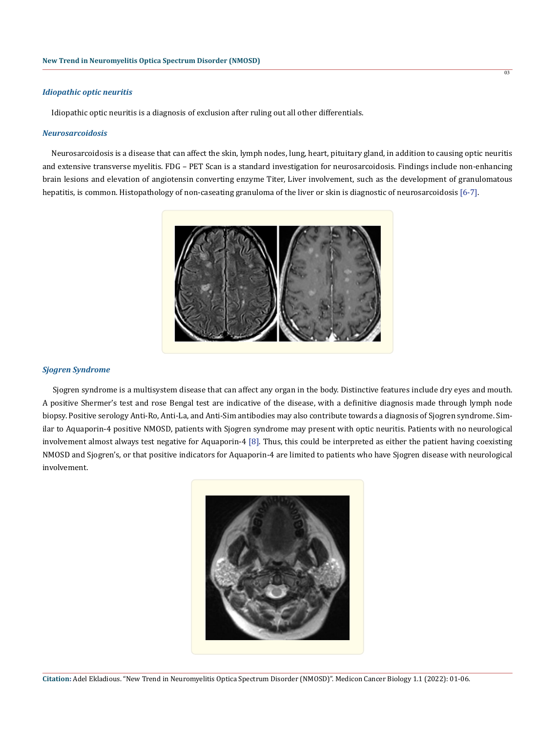#### *Idiopathic optic neuritis*

Idiopathic optic neuritis is a diagnosis of exclusion after ruling out all other differentials.

#### *Neurosarcoidosis*

 Neurosarcoidosis is a disease that can affect the skin, lymph nodes, lung, heart, pituitary gland, in addition to causing optic neuritis and extensive transverse myelitis. FDG – PET Scan is a standard investigation for neurosarcoidosis. Findings include non-enhancing brain lesions and elevation of angiotensin converting enzyme Titer, Liver involvement, such as the development of granulomatous hepatitis, is common. Histopathology of non-caseating granuloma of the liver or skin is diagnostic of neurosarcoidosis [6-7].

03



#### *Sjogren Syndrome*

 Sjogren syndrome is a multisystem disease that can affect any organ in the body. Distinctive features include dry eyes and mouth. A positive Shermer's test and rose Bengal test are indicative of the disease, with a definitive diagnosis made through lymph node biopsy. Positive serology Anti-Ro, Anti-La, and Anti-Sim antibodies may also contribute towards a diagnosis of Sjogren syndrome. Similar to Aquaporin-4 positive NMOSD, patients with Sjogren syndrome may present with optic neuritis. Patients with no neurological involvement almost always test negative for Aquaporin-4 [8]. Thus, this could be interpreted as either the patient having coexisting NMOSD and Sjogren's, or that positive indicators for Aquaporin-4 are limited to patients who have Sjogren disease with neurological involvement.

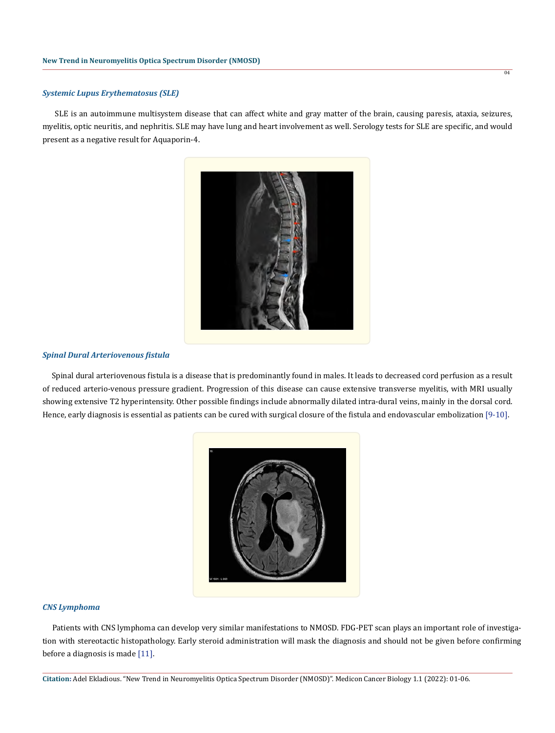### *Systemic Lupus Erythematosus (SLE)*

 SLE is an autoimmune multisystem disease that can affect white and gray matter of the brain, causing paresis, ataxia, seizures, myelitis, optic neuritis, and nephritis. SLE may have lung and heart involvement as well. Serology tests for SLE are specific, and would present as a negative result for Aquaporin-4.



#### *Spinal Dural Arteriovenous fistula*

 Spinal dural arteriovenous fistula is a disease that is predominantly found in males. It leads to decreased cord perfusion as a result of reduced arterio-venous pressure gradient. Progression of this disease can cause extensive transverse myelitis, with MRI usually showing extensive T2 hyperintensity. Other possible findings include abnormally dilated intra-dural veins, mainly in the dorsal cord. Hence, early diagnosis is essential as patients can be cured with surgical closure of the fistula and endovascular embolization [9-10].



#### *CNS Lymphoma*

 Patients with CNS lymphoma can develop very similar manifestations to NMOSD. FDG-PET scan plays an important role of investigation with stereotactic histopathology. Early steroid administration will mask the diagnosis and should not be given before confirming before a diagnosis is made [11].

**Citation:** Adel Ekladious. "New Trend in Neuromyelitis Optica Spectrum Disorder (NMOSD)". Medicon Cancer Biology 1.1 (2022): 01-06.

04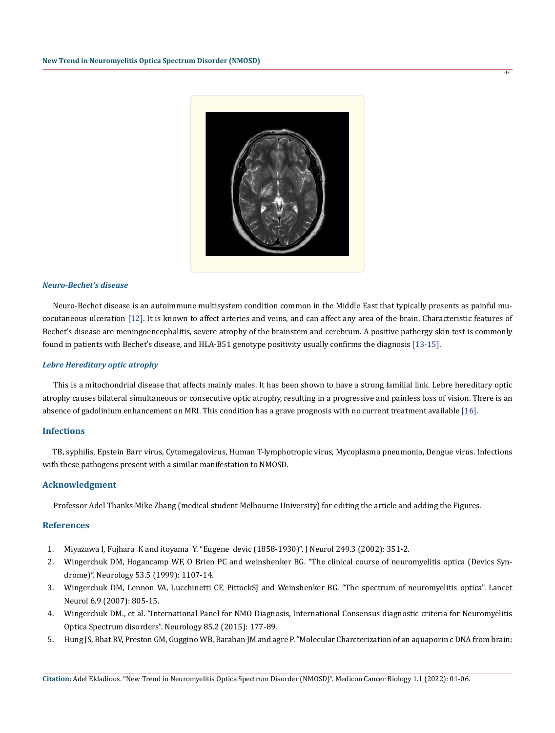

05

#### *Neuro-Bechet's disease*

 Neuro-Bechet disease is an autoimmune multisystem condition common in the Middle East that typically presents as painful mucocutaneous ulceration [12]. It is known to affect arteries and veins, and can affect any area of the brain. Characteristic features of Bechet's disease are meningoencephalitis, severe atrophy of the brainstem and cerebrum. A positive pathergy skin test is commonly found in patients with Bechet's disease, and HLA-B51 genotype positivity usually confirms the diagnosis [13-15].

## *Lebre Hereditary optic atrophy*

 This is a mitochondrial disease that affects mainly males. It has been shown to have a strong familial link. Lebre hereditary optic atrophy causes bilateral simultaneous or consecutive optic atrophy, resulting in a progressive and painless loss of vision. There is an absence of gadolinium enhancement on MRI. This condition has a grave prognosis with no current treatment available [16].

## **Infections**

 TB, syphilis, Epstein Barr virus, Cytomegalovirus, Human T-lymphotropic virus, Mycoplasma pneumonia, Dengue virus. Infections with these pathogens present with a similar manifestation to NMOSD.

### **Acknowledgment**

Professor Adel Thanks Mike Zhang (medical student Melbourne University) for editing the article and adding the Figures.

#### **References**

- 1. [Miyazawa I, Fujhara K and itoyama Y. "Eugene devic \(1858-1930\)". J Neurol 249.3 \(2002\): 351-2.](https://pubmed.ncbi.nlm.nih.gov/11993541/)
- 2. [Wingerchuk DM, Hogancamp WF, O Brien PC and weinshenker BG. "The clinical course of neuromyelitis optica \(Devics Syn](https://pubmed.ncbi.nlm.nih.gov/10496275/)[drome\)". Neurology 53.5 \(1999\): 1107-14.](https://pubmed.ncbi.nlm.nih.gov/10496275/)
- 3. [Wingerchuk DM, Lennon VA, Lucchinetti CF, PittockSJ and Weinshenker BG. "The spectrum of neuromyelitis optica". Lancet](https://pubmed.ncbi.nlm.nih.gov/17706564/) [Neurol 6.9 \(2007\): 805-15.](https://pubmed.ncbi.nlm.nih.gov/17706564/)
- 4. [Wingerchuk DM., et al. "International Panel for NMO Diagnosis, International Consensus diagnostic criteria for Neuromyelitis](https://pubmed.ncbi.nlm.nih.gov/26092914/) [Optica Spectrum disorders". Neurology 85.2 \(2015\): 177-89.](https://pubmed.ncbi.nlm.nih.gov/26092914/)
- 5. [Hung JS, Bhat RV, Preston GM, Guggino WB, Baraban JM and agre P. "Molecular Charcterization of an aquaporin c DNA from brain:](https://pubmed.ncbi.nlm.nih.gov/7528931/)